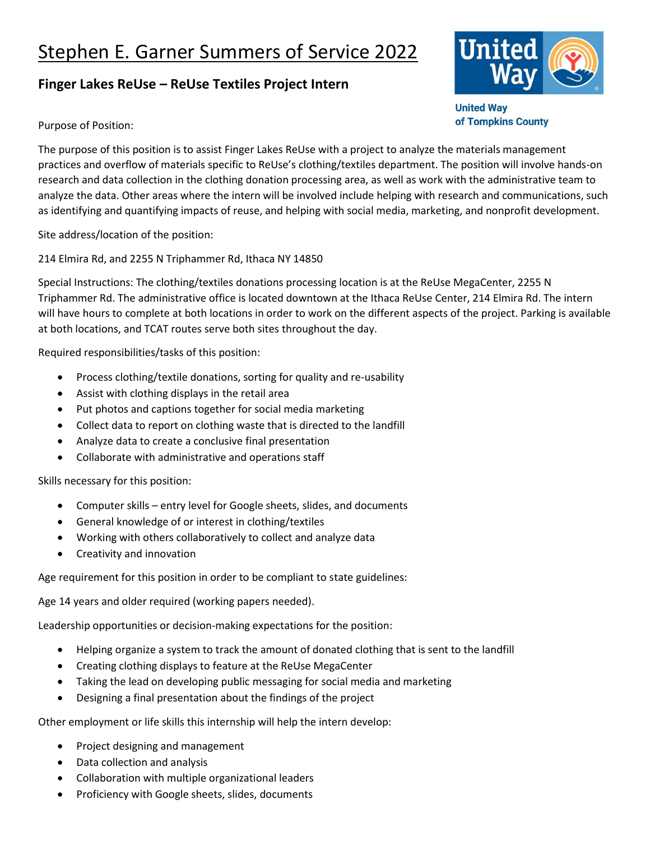## Stephen E. Garner Summers of Service 2022

## **Finger Lakes ReUse – ReUse Textiles Project Intern**



**United Way** of Tompkins County

Purpose of Position:

The purpose of this position is to assist Finger Lakes ReUse with a project to analyze the materials management practices and overflow of materials specific to ReUse's clothing/textiles department. The position will involve hands-on research and data collection in the clothing donation processing area, as well as work with the administrative team to analyze the data. Other areas where the intern will be involved include helping with research and communications, such as identifying and quantifying impacts of reuse, and helping with social media, marketing, and nonprofit development.

Site address/location of the position:

214 Elmira Rd, and 2255 N Triphammer Rd, Ithaca NY 14850

Special Instructions: The clothing/textiles donations processing location is at the ReUse MegaCenter, 2255 N Triphammer Rd. The administrative office is located downtown at the Ithaca ReUse Center, 214 Elmira Rd. The intern will have hours to complete at both locations in order to work on the different aspects of the project. Parking is available at both locations, and TCAT routes serve both sites throughout the day.

Required responsibilities/tasks of this position:

- Process clothing/textile donations, sorting for quality and re-usability
- Assist with clothing displays in the retail area
- Put photos and captions together for social media marketing
- Collect data to report on clothing waste that is directed to the landfill
- Analyze data to create a conclusive final presentation
- Collaborate with administrative and operations staff

Skills necessary for this position:

- Computer skills entry level for Google sheets, slides, and documents
- General knowledge of or interest in clothing/textiles
- Working with others collaboratively to collect and analyze data
- Creativity and innovation

Age requirement for this position in order to be compliant to state guidelines:

Age 14 years and older required (working papers needed).

Leadership opportunities or decision-making expectations for the position:

- Helping organize a system to track the amount of donated clothing that is sent to the landfill
- Creating clothing displays to feature at the ReUse MegaCenter
- Taking the lead on developing public messaging for social media and marketing
- Designing a final presentation about the findings of the project

Other employment or life skills this internship will help the intern develop:

- Project designing and management
- Data collection and analysis
- Collaboration with multiple organizational leaders
- Proficiency with Google sheets, slides, documents